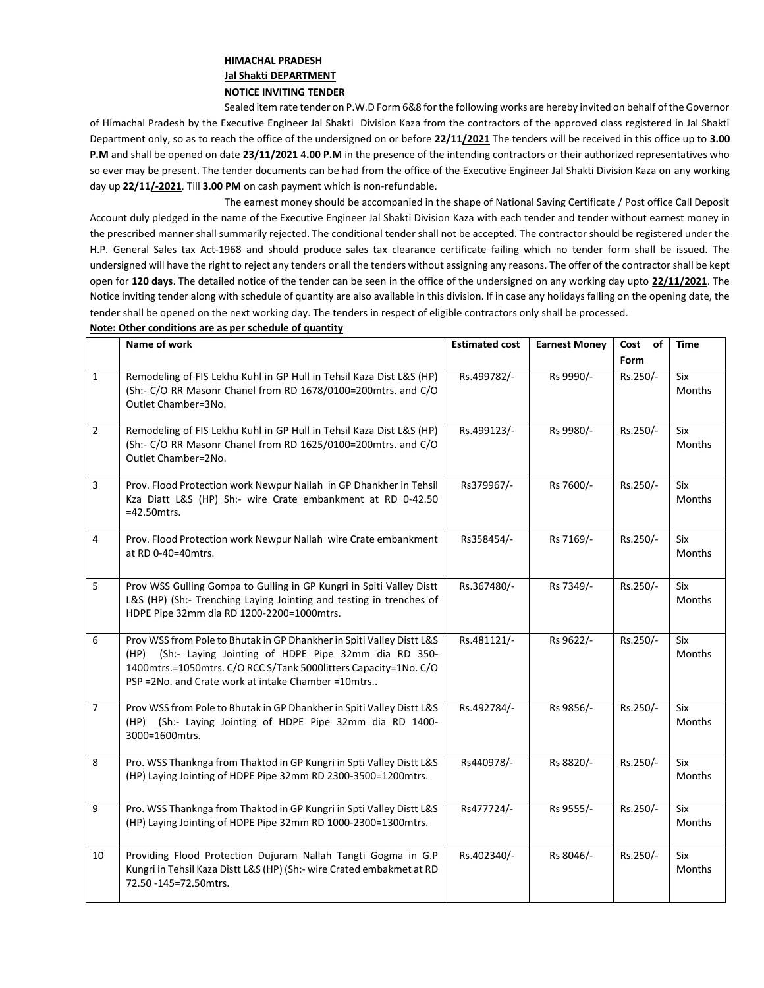## **HIMACHAL PRADESH Jal Shakti DEPARTMENT NOTICE INVITING TENDER**

Sealed item rate tender on P.W.D Form 6&8 for the following works are hereby invited on behalf of the Governor of Himachal Pradesh by the Executive Engineer Jal Shakti Division Kaza from the contractors of the approved class registered in Jal Shakti Department only, so as to reach the office of the undersigned on or before **22/11/2021** The tenders will be received in this office up to **3.00 P.M** and shall be opened on date **23/11/2021** 4**.00 P.M** in the presence of the intending contractors or their authorized representatives who so ever may be present. The tender documents can be had from the office of the Executive Engineer Jal Shakti Division Kaza on any working day up **22/11/-2021**. Till **3.00 PM** on cash payment which is non-refundable.

The earnest money should be accompanied in the shape of National Saving Certificate / Post office Call Deposit Account duly pledged in the name of the Executive Engineer Jal Shakti Division Kaza with each tender and tender without earnest money in the prescribed manner shall summarily rejected. The conditional tender shall not be accepted. The contractor should be registered under the H.P. General Sales tax Act-1968 and should produce sales tax clearance certificate failing which no tender form shall be issued. The undersigned will have the right to reject any tenders or all the tenders without assigning any reasons. The offer of the contractor shall be kept open for **120 days**. The detailed notice of the tender can be seen in the office of the undersigned on any working day upto **22/11/2021**. The Notice inviting tender along with schedule of quantity are also available in this division. If in case any holidays falling on the opening date, the tender shall be opened on the next working day. The tenders in respect of eligible contractors only shall be processed.

|                | Name of work                                                                                                                                                                                                                                                     | <b>Estimated cost</b> | <b>Earnest Money</b> | Cost<br>of | Time                 |
|----------------|------------------------------------------------------------------------------------------------------------------------------------------------------------------------------------------------------------------------------------------------------------------|-----------------------|----------------------|------------|----------------------|
|                |                                                                                                                                                                                                                                                                  |                       |                      | Form       |                      |
| $\mathbf{1}$   | Remodeling of FIS Lekhu Kuhl in GP Hull in Tehsil Kaza Dist L&S (HP)<br>(Sh:- C/O RR Masonr Chanel from RD 1678/0100=200mtrs. and C/O<br>Outlet Chamber=3No.                                                                                                     | Rs.499782/-           | Rs 9990/-            | Rs.250/-   | Six<br><b>Months</b> |
| $\overline{2}$ | Remodeling of FIS Lekhu Kuhl in GP Hull in Tehsil Kaza Dist L&S (HP)<br>(Sh:- C/O RR Masonr Chanel from RD 1625/0100=200mtrs. and C/O<br>Outlet Chamber=2No.                                                                                                     | Rs.499123/-           | Rs 9980/-            | Rs.250/-   | Six<br><b>Months</b> |
| 3              | Prov. Flood Protection work Newpur Nallah in GP Dhankher in Tehsil<br>Kza Diatt L&S (HP) Sh:- wire Crate embankment at RD 0-42.50<br>$=42.50$ mtrs.                                                                                                              | Rs379967/-            | Rs 7600/-            | Rs.250/-   | Six<br>Months        |
| 4              | Prov. Flood Protection work Newpur Nallah wire Crate embankment<br>at RD 0-40=40mtrs.                                                                                                                                                                            | Rs358454/-            | Rs 7169/-            | Rs.250/-   | Six<br>Months        |
| 5              | Prov WSS Gulling Gompa to Gulling in GP Kungri in Spiti Valley Distt<br>L&S (HP) (Sh:- Trenching Laying Jointing and testing in trenches of<br>HDPE Pipe 32mm dia RD 1200-2200=1000mtrs.                                                                         | Rs.367480/-           | Rs 7349/-            | Rs.250/-   | Six<br><b>Months</b> |
| 6              | Prov WSS from Pole to Bhutak in GP Dhankher in Spiti Valley Distt L&S<br>(Sh:- Laying Jointing of HDPE Pipe 32mm dia RD 350-<br>(HP)<br>1400mtrs.=1050mtrs. C/O RCC S/Tank 5000litters Capacity=1No. C/O<br>PSP = 2No. and Crate work at intake Chamber = 10mtrs | Rs.481121/-           | Rs 9622/-            | Rs.250/-   | Six<br>Months        |
| $\overline{7}$ | Prov WSS from Pole to Bhutak in GP Dhankher in Spiti Valley Distt L&S<br>(HP) (Sh:- Laying Jointing of HDPE Pipe 32mm dia RD 1400-<br>3000=1600mtrs.                                                                                                             | Rs.492784/-           | Rs 9856/-            | Rs.250/-   | Six<br>Months        |
| 8              | Pro. WSS Thanknga from Thaktod in GP Kungri in Spti Valley Distt L&S<br>(HP) Laying Jointing of HDPE Pipe 32mm RD 2300-3500=1200mtrs.                                                                                                                            | Rs440978/-            | Rs 8820/-            | Rs.250/-   | Six<br>Months        |
| 9              | Pro. WSS Thanknga from Thaktod in GP Kungri in Spti Valley Distt L&S<br>(HP) Laying Jointing of HDPE Pipe 32mm RD 1000-2300=1300mtrs.                                                                                                                            | Rs477724/-            | Rs 9555/-            | Rs.250/-   | Six<br>Months        |
| 10             | Providing Flood Protection Dujuram Nallah Tangti Gogma in G.P<br>Kungri in Tehsil Kaza Distt L&S (HP) (Sh:- wire Crated embakmet at RD<br>72.50 - 145 = 72.50 mtrs.                                                                                              | Rs.402340/-           | Rs 8046/-            | Rs.250/-   | Six<br>Months        |

## **Note: Other conditions are as per schedule of quantity**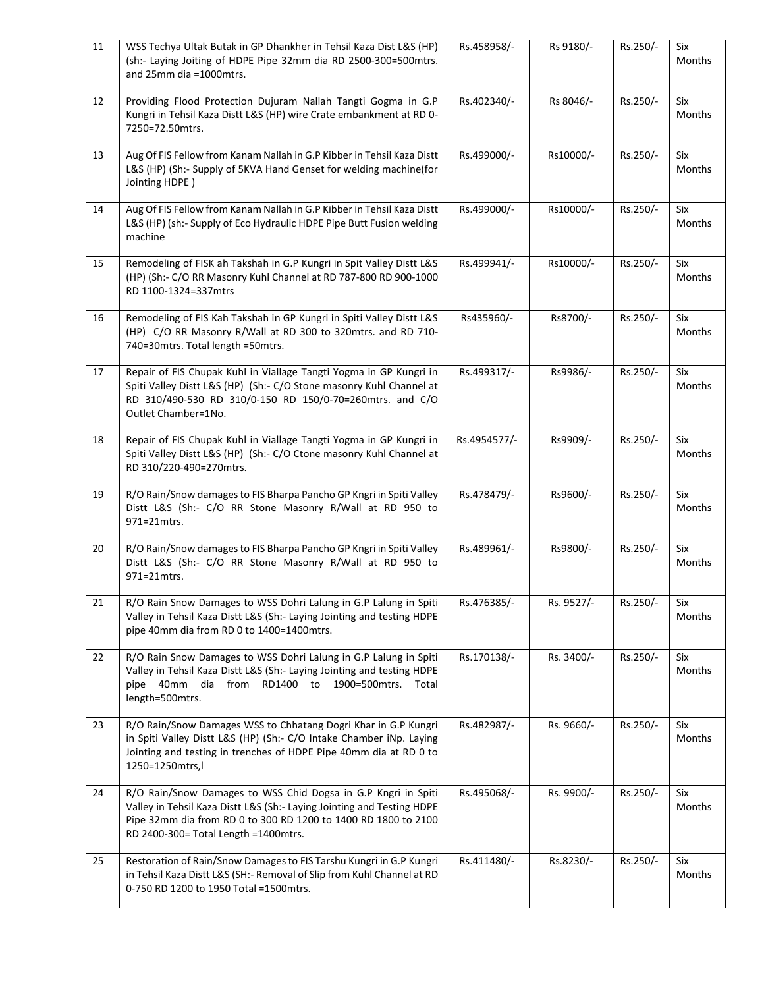| 11 | WSS Techya Ultak Butak in GP Dhankher in Tehsil Kaza Dist L&S (HP)<br>(sh:- Laying Joiting of HDPE Pipe 32mm dia RD 2500-300=500mtrs.<br>and 25mm dia =1000mtrs.                                                                                    | Rs.458958/-  | Rs 9180/-  | Rs.250/- | Six<br>Months        |
|----|-----------------------------------------------------------------------------------------------------------------------------------------------------------------------------------------------------------------------------------------------------|--------------|------------|----------|----------------------|
| 12 | Providing Flood Protection Dujuram Nallah Tangti Gogma in G.P<br>Kungri in Tehsil Kaza Distt L&S (HP) wire Crate embankment at RD 0-<br>7250=72.50mtrs.                                                                                             | Rs.402340/-  | Rs 8046/-  | Rs.250/- | Six<br>Months        |
| 13 | Aug Of FIS Fellow from Kanam Nallah in G.P Kibber in Tehsil Kaza Distt<br>L&S (HP) (Sh:- Supply of 5KVA Hand Genset for welding machine(for<br>Jointing HDPE)                                                                                       | Rs.499000/-  | Rs10000/-  | Rs.250/- | Six<br>Months        |
| 14 | Aug Of FIS Fellow from Kanam Nallah in G.P Kibber in Tehsil Kaza Distt<br>L&S (HP) (sh:- Supply of Eco Hydraulic HDPE Pipe Butt Fusion welding<br>machine                                                                                           | Rs.499000/-  | Rs10000/-  | Rs.250/- | Six<br>Months        |
| 15 | Remodeling of FISK ah Takshah in G.P Kungri in Spit Valley Distt L&S<br>(HP) (Sh:- C/O RR Masonry Kuhl Channel at RD 787-800 RD 900-1000<br>RD 1100-1324=337mtrs                                                                                    | Rs.499941/-  | Rs10000/-  | Rs.250/- | Six<br>Months        |
| 16 | Remodeling of FIS Kah Takshah in GP Kungri in Spiti Valley Distt L&S<br>(HP) C/O RR Masonry R/Wall at RD 300 to 320mtrs. and RD 710-<br>740=30mtrs. Total length =50mtrs.                                                                           | Rs435960/-   | Rs8700/-   | Rs.250/- | Six<br>Months        |
| 17 | Repair of FIS Chupak Kuhl in Viallage Tangti Yogma in GP Kungri in<br>Spiti Valley Distt L&S (HP) (Sh:- C/O Stone masonry Kuhl Channel at<br>RD 310/490-530 RD 310/0-150 RD 150/0-70=260mtrs. and C/O<br>Outlet Chamber=1No.                        | Rs.499317/-  | Rs9986/-   | Rs.250/- | Six<br>Months        |
| 18 | Repair of FIS Chupak Kuhl in Viallage Tangti Yogma in GP Kungri in<br>Spiti Valley Distt L&S (HP) (Sh:- C/O Ctone masonry Kuhl Channel at<br>RD 310/220-490=270mtrs.                                                                                | Rs.4954577/- | Rs9909/-   | Rs.250/- | Six<br>Months        |
| 19 | R/O Rain/Snow damages to FIS Bharpa Pancho GP Kngri in Spiti Valley<br>Distt L&S (Sh:- C/O RR Stone Masonry R/Wall at RD 950 to<br>971=21mtrs.                                                                                                      | Rs.478479/-  | Rs9600/-   | Rs.250/- | Six<br>Months        |
| 20 | R/O Rain/Snow damages to FIS Bharpa Pancho GP Kngri in Spiti Valley<br>Distt L&S (Sh:- C/O RR Stone Masonry R/Wall at RD 950 to<br>971=21mtrs.                                                                                                      | Rs.489961/-  | Rs9800/-   | Rs.250/- | Six<br><b>Months</b> |
| 21 | R/O Rain Snow Damages to WSS Dohri Lalung in G.P Lalung in Spiti<br>Valley in Tehsil Kaza Distt L&S (Sh:- Laying Jointing and testing HDPE<br>pipe 40mm dia from RD 0 to 1400=1400mtrs.                                                             | Rs.476385/-  | Rs. 9527/- | Rs.250/- | Six<br><b>Months</b> |
| 22 | R/O Rain Snow Damages to WSS Dohri Lalung in G.P Lalung in Spiti<br>Valley in Tehsil Kaza Distt L&S (Sh:- Laying Jointing and testing HDPE<br>pipe 40mm dia<br>from RD1400 to 1900=500mtrs.<br>Total<br>length=500mtrs.                             | Rs.170138/-  | Rs. 3400/- | Rs.250/- | Six<br>Months        |
| 23 | R/O Rain/Snow Damages WSS to Chhatang Dogri Khar in G.P Kungri<br>in Spiti Valley Distt L&S (HP) (Sh:- C/O Intake Chamber iNp. Laying<br>Jointing and testing in trenches of HDPE Pipe 40mm dia at RD 0 to<br>1250=1250mtrs,l                       | Rs.482987/-  | Rs. 9660/- | Rs.250/- | Six<br><b>Months</b> |
| 24 | R/O Rain/Snow Damages to WSS Chid Dogsa in G.P Kngri in Spiti<br>Valley in Tehsil Kaza Distt L&S (Sh:- Laying Jointing and Testing HDPE<br>Pipe 32mm dia from RD 0 to 300 RD 1200 to 1400 RD 1800 to 2100<br>RD 2400-300= Total Length = 1400 mtrs. | Rs.495068/-  | Rs. 9900/- | Rs.250/- | Six<br>Months        |
| 25 | Restoration of Rain/Snow Damages to FIS Tarshu Kungri in G.P Kungri<br>in Tehsil Kaza Distt L&S (SH:- Removal of Slip from Kuhl Channel at RD<br>0-750 RD 1200 to 1950 Total =1500mtrs.                                                             | Rs.411480/-  | Rs.8230/-  | Rs.250/- | Six<br>Months        |